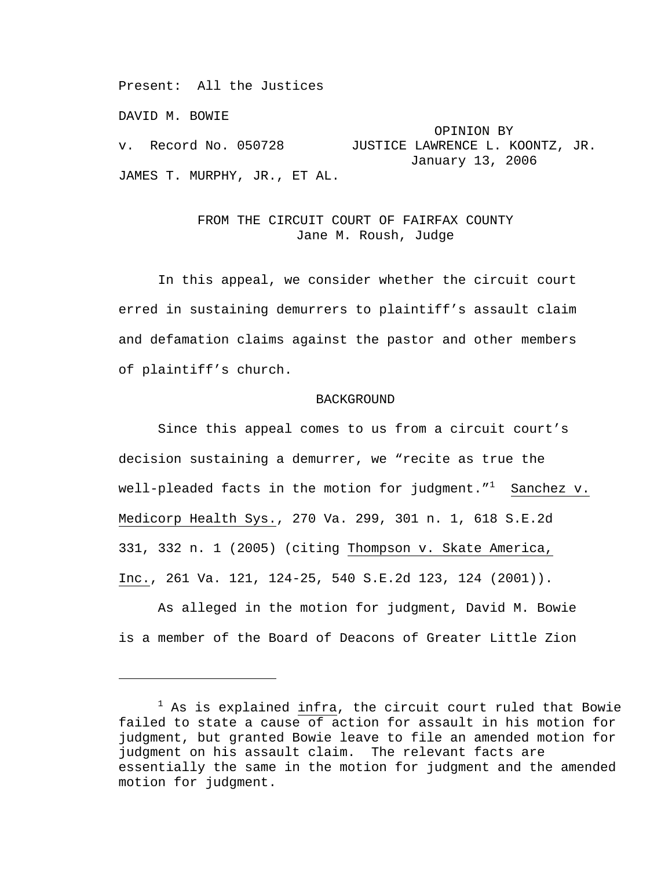Present: All the Justices

DAVID M. BOWIE

i

OPINION BY<br>v. Record No. 050728 JUSTICE LAWRENCE L. K JUSTICE LAWRENCE L. KOONTZ, JR. January 13, 2006 JAMES T. MURPHY, JR., ET AL.

## FROM THE CIRCUIT COURT OF FAIRFAX COUNTY Jane M. Roush, Judge

 In this appeal, we consider whether the circuit court erred in sustaining demurrers to plaintiff's assault claim and defamation claims against the pastor and other members of plaintiff's church.

## BACKGROUND

 Since this appeal comes to us from a circuit court's decision sustaining a demurrer, we "recite as true the well-pleaded facts in the motion for judgment." $^1$  Sanchez v. Medicorp Health Sys., 270 Va. 299, 301 n. 1, 618 S.E.2d 331, 332 n. 1 (2005) (citing Thompson v. Skate America, Inc., 261 Va. 121, 124-25, 540 S.E.2d 123, 124 (2001)).

 As alleged in the motion for judgment, David M. Bowie is a member of the Board of Deacons of Greater Little Zion

 $1$  As is explained  $\frac{\text{intra}}{\text{at}}$ , the circuit court ruled that Bowie failed to state a cause of action for assault in his motion for judgment, but granted Bowie leave to file an amended motion for judgment on his assault claim. The relevant facts are essentially the same in the motion for judgment and the amended motion for judgment.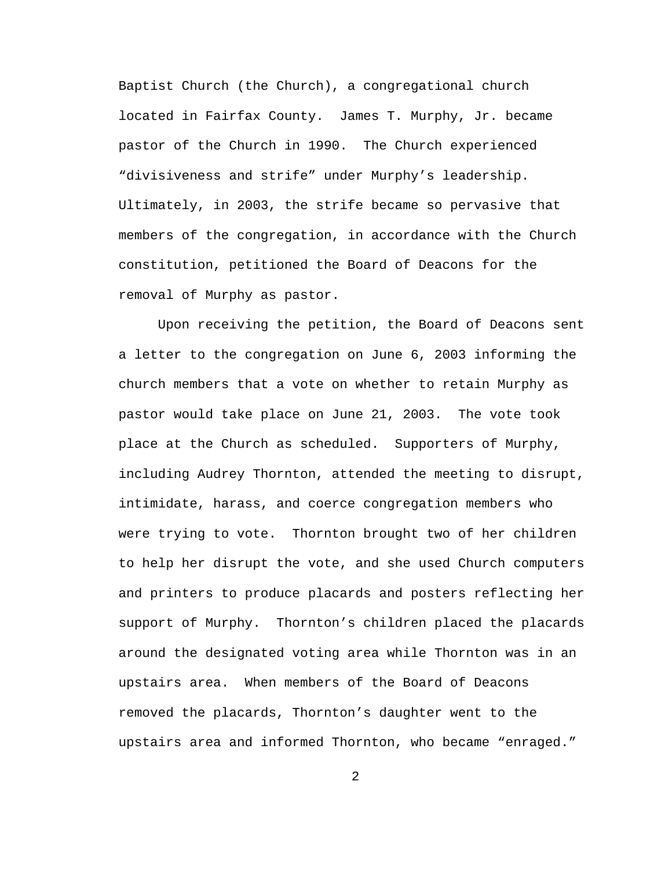Baptist Church (the Church), a congregational church located in Fairfax County. James T. Murphy, Jr. became pastor of the Church in 1990. The Church experienced "divisiveness and strife" under Murphy's leadership. Ultimately, in 2003, the strife became so pervasive that members of the congregation, in accordance with the Church constitution, petitioned the Board of Deacons for the removal of Murphy as pastor.

 Upon receiving the petition, the Board of Deacons sent a letter to the congregation on June 6, 2003 informing the church members that a vote on whether to retain Murphy as pastor would take place on June 21, 2003. The vote took place at the Church as scheduled. Supporters of Murphy, including Audrey Thornton, attended the meeting to disrupt, intimidate, harass, and coerce congregation members who were trying to vote. Thornton brought two of her children to help her disrupt the vote, and she used Church computers and printers to produce placards and posters reflecting her support of Murphy. Thornton's children placed the placards around the designated voting area while Thornton was in an upstairs area. When members of the Board of Deacons removed the placards, Thornton's daughter went to the upstairs area and informed Thornton, who became "enraged."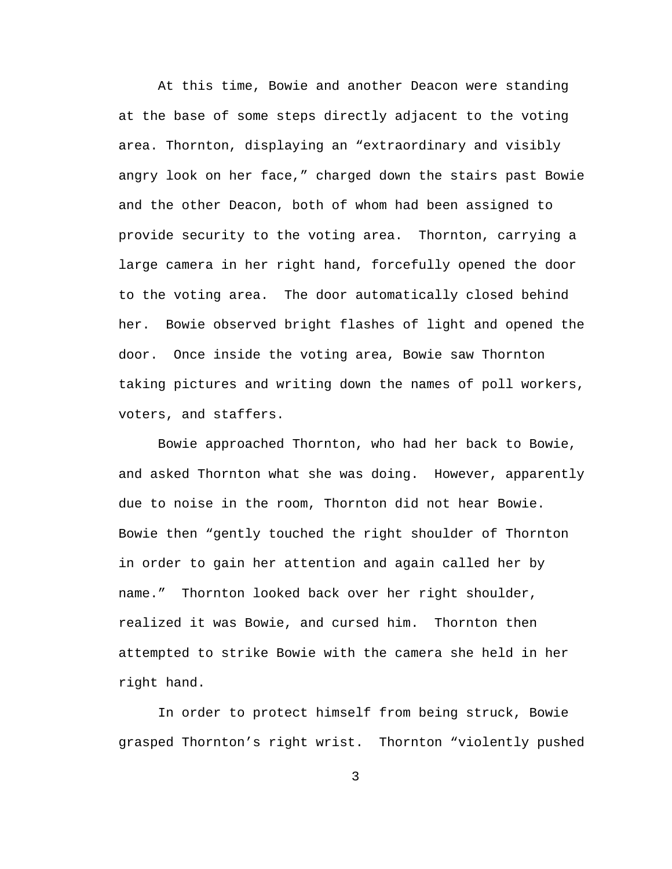At this time, Bowie and another Deacon were standing at the base of some steps directly adjacent to the voting area. Thornton, displaying an "extraordinary and visibly angry look on her face," charged down the stairs past Bowie and the other Deacon, both of whom had been assigned to provide security to the voting area. Thornton, carrying a large camera in her right hand, forcefully opened the door to the voting area. The door automatically closed behind her. Bowie observed bright flashes of light and opened the door. Once inside the voting area, Bowie saw Thornton taking pictures and writing down the names of poll workers, voters, and staffers.

 Bowie approached Thornton, who had her back to Bowie, and asked Thornton what she was doing. However, apparently due to noise in the room, Thornton did not hear Bowie. Bowie then "gently touched the right shoulder of Thornton in order to gain her attention and again called her by name." Thornton looked back over her right shoulder, realized it was Bowie, and cursed him. Thornton then attempted to strike Bowie with the camera she held in her right hand.

 In order to protect himself from being struck, Bowie grasped Thornton's right wrist. Thornton "violently pushed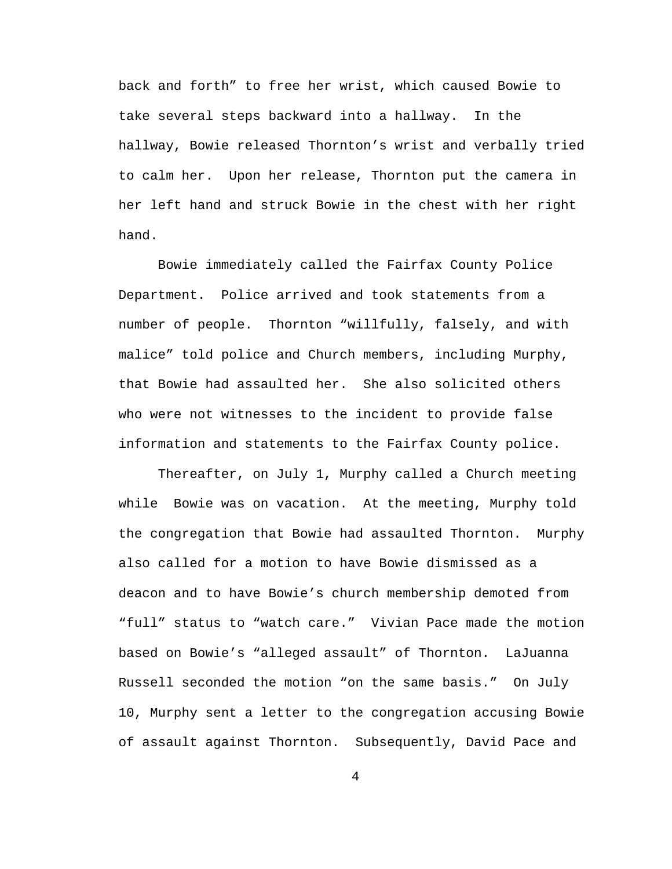back and forth" to free her wrist, which caused Bowie to take several steps backward into a hallway. In the hallway, Bowie released Thornton's wrist and verbally tried to calm her. Upon her release, Thornton put the camera in her left hand and struck Bowie in the chest with her right hand.

 Bowie immediately called the Fairfax County Police Department. Police arrived and took statements from a number of people. Thornton "willfully, falsely, and with malice" told police and Church members, including Murphy, that Bowie had assaulted her. She also solicited others who were not witnesses to the incident to provide false information and statements to the Fairfax County police.

 Thereafter, on July 1, Murphy called a Church meeting while Bowie was on vacation. At the meeting, Murphy told the congregation that Bowie had assaulted Thornton. Murphy also called for a motion to have Bowie dismissed as a deacon and to have Bowie's church membership demoted from "full" status to "watch care." Vivian Pace made the motion based on Bowie's "alleged assault" of Thornton. LaJuanna Russell seconded the motion "on the same basis." On July 10, Murphy sent a letter to the congregation accusing Bowie of assault against Thornton. Subsequently, David Pace and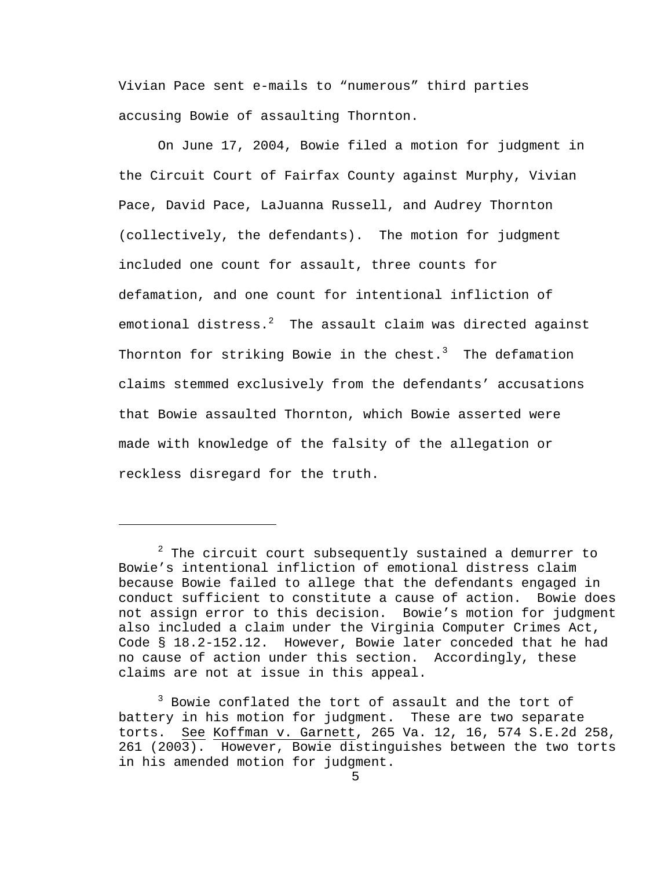Vivian Pace sent e-mails to "numerous" third parties accusing Bowie of assaulting Thornton.

 On June 17, 2004, Bowie filed a motion for judgment in the Circuit Court of Fairfax County against Murphy, Vivian Pace, David Pace, LaJuanna Russell, and Audrey Thornton (collectively, the defendants). The motion for judgment included one count for assault, three counts for defamation, and one count for intentional infliction of emotional distress. $^2$  The assault claim was directed against Thornton for striking Bowie in the chest. $^3$  The defamation claims stemmed exclusively from the defendants' accusations that Bowie assaulted Thornton, which Bowie asserted were made with knowledge of the falsity of the allegation or reckless disregard for the truth.

i

 $^2$  The circuit court subsequently sustained a demurrer to Bowie's intentional infliction of emotional distress claim because Bowie failed to allege that the defendants engaged in conduct sufficient to constitute a cause of action. Bowie does not assign error to this decision. Bowie's motion for judgment also included a claim under the Virginia Computer Crimes Act, Code § 18.2-152.12. However, Bowie later conceded that he had no cause of action under this section. Accordingly, these claims are not at issue in this appeal.

<sup>&</sup>lt;sup>3</sup> Bowie conflated the tort of assault and the tort of battery in his motion for judgment. These are two separate torts. See Koffman v. Garnett, 265 Va. 12, 16, 574 S.E.2d 258, 261 (2003). However, Bowie distinguishes between the two torts in his amended motion for judgment.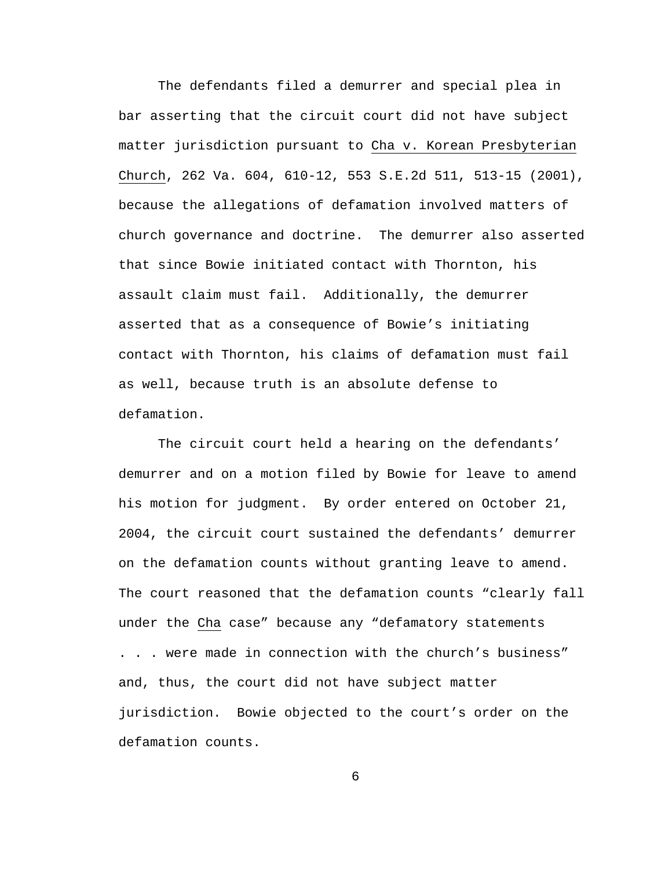The defendants filed a demurrer and special plea in bar asserting that the circuit court did not have subject matter jurisdiction pursuant to Cha v. Korean Presbyterian Church, 262 Va. 604, 610-12, 553 S.E.2d 511, 513-15 (2001), because the allegations of defamation involved matters of church governance and doctrine. The demurrer also asserted that since Bowie initiated contact with Thornton, his assault claim must fail. Additionally, the demurrer asserted that as a consequence of Bowie's initiating contact with Thornton, his claims of defamation must fail as well, because truth is an absolute defense to defamation.

 The circuit court held a hearing on the defendants' demurrer and on a motion filed by Bowie for leave to amend his motion for judgment. By order entered on October 21, 2004, the circuit court sustained the defendants' demurrer on the defamation counts without granting leave to amend. The court reasoned that the defamation counts "clearly fall under the Cha case" because any "defamatory statements . . . were made in connection with the church's business" and, thus, the court did not have subject matter jurisdiction. Bowie objected to the court's order on the defamation counts.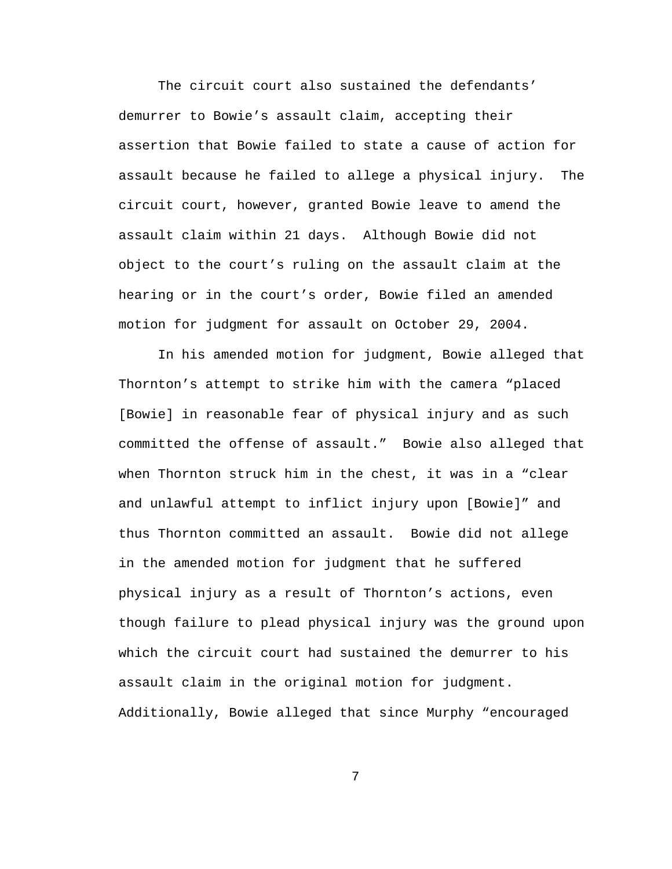The circuit court also sustained the defendants' demurrer to Bowie's assault claim, accepting their assertion that Bowie failed to state a cause of action for assault because he failed to allege a physical injury. The circuit court, however, granted Bowie leave to amend the assault claim within 21 days. Although Bowie did not object to the court's ruling on the assault claim at the hearing or in the court's order, Bowie filed an amended motion for judgment for assault on October 29, 2004.

 In his amended motion for judgment, Bowie alleged that Thornton's attempt to strike him with the camera "placed [Bowie] in reasonable fear of physical injury and as such committed the offense of assault." Bowie also alleged that when Thornton struck him in the chest, it was in a "clear and unlawful attempt to inflict injury upon [Bowie]" and thus Thornton committed an assault. Bowie did not allege in the amended motion for judgment that he suffered physical injury as a result of Thornton's actions, even though failure to plead physical injury was the ground upon which the circuit court had sustained the demurrer to his assault claim in the original motion for judgment. Additionally, Bowie alleged that since Murphy "encouraged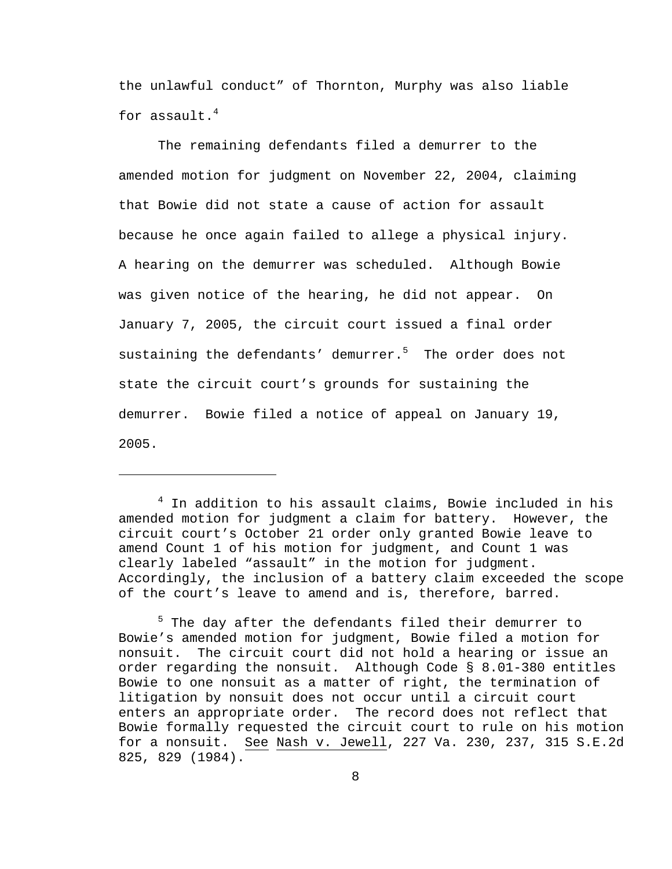the unlawful conduct" of Thornton, Murphy was also liable for assault. $4$ 

 The remaining defendants filed a demurrer to the amended motion for judgment on November 22, 2004, claiming that Bowie did not state a cause of action for assault because he once again failed to allege a physical injury. A hearing on the demurrer was scheduled. Although Bowie was given notice of the hearing, he did not appear. On January 7, 2005, the circuit court issued a final order sustaining the defendants' demurrer.<sup>5</sup> The order does not state the circuit court's grounds for sustaining the demurrer. Bowie filed a notice of appeal on January 19, 2005.

4 In addition to his assault claims, Bowie included in his amended motion for judgment a claim for battery. However, the circuit court's October 21 order only granted Bowie leave to amend Count 1 of his motion for judgment, and Count 1 was clearly labeled "assault" in the motion for judgment. Accordingly, the inclusion of a battery claim exceeded the scope of the court's leave to amend and is, therefore, barred.

i<br>Li

<sup>5</sup> The day after the defendants filed their demurrer to Bowie's amended motion for judgment, Bowie filed a motion for nonsuit. The circuit court did not hold a hearing or issue an order regarding the nonsuit. Although Code § 8.01-380 entitles Bowie to one nonsuit as a matter of right, the termination of litigation by nonsuit does not occur until a circuit court enters an appropriate order. The record does not reflect that Bowie formally requested the circuit court to rule on his motion for a nonsuit. See Nash v. Jewell, 227 Va. 230, 237, 315 S.E.2d 825, 829 (1984).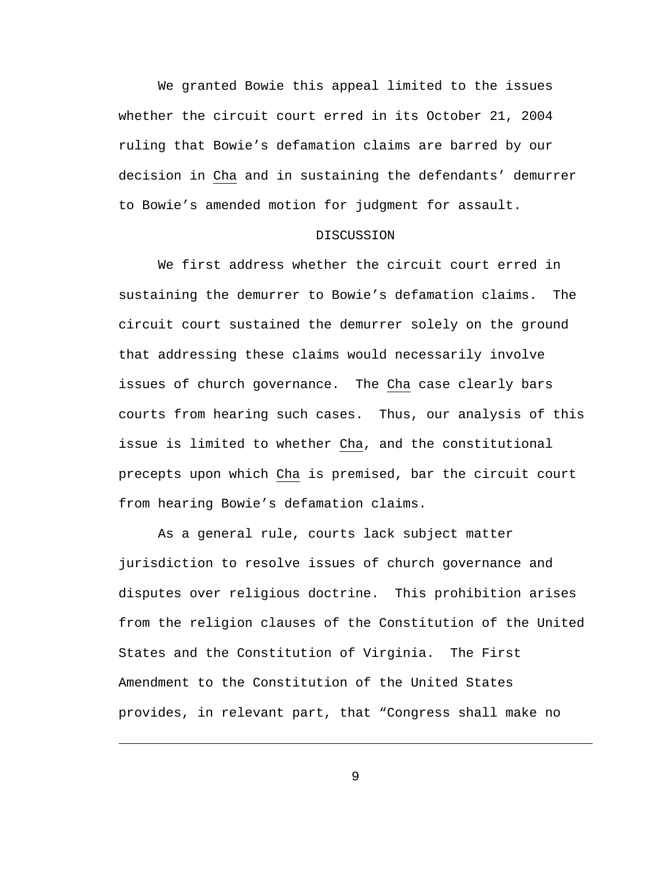We granted Bowie this appeal limited to the issues whether the circuit court erred in its October 21, 2004 ruling that Bowie's defamation claims are barred by our decision in Cha and in sustaining the defendants' demurrer to Bowie's amended motion for judgment for assault.

## DISCUSSION

 We first address whether the circuit court erred in sustaining the demurrer to Bowie's defamation claims. The circuit court sustained the demurrer solely on the ground that addressing these claims would necessarily involve issues of church governance. The Cha case clearly bars courts from hearing such cases. Thus, our analysis of this issue is limited to whether Cha, and the constitutional precepts upon which Cha is premised, bar the circuit court from hearing Bowie's defamation claims.

 As a general rule, courts lack subject matter jurisdiction to resolve issues of church governance and disputes over religious doctrine. This prohibition arises from the religion clauses of the Constitution of the United States and the Constitution of Virginia. The First Amendment to the Constitution of the United States provides, in relevant part, that "Congress shall make no

9

i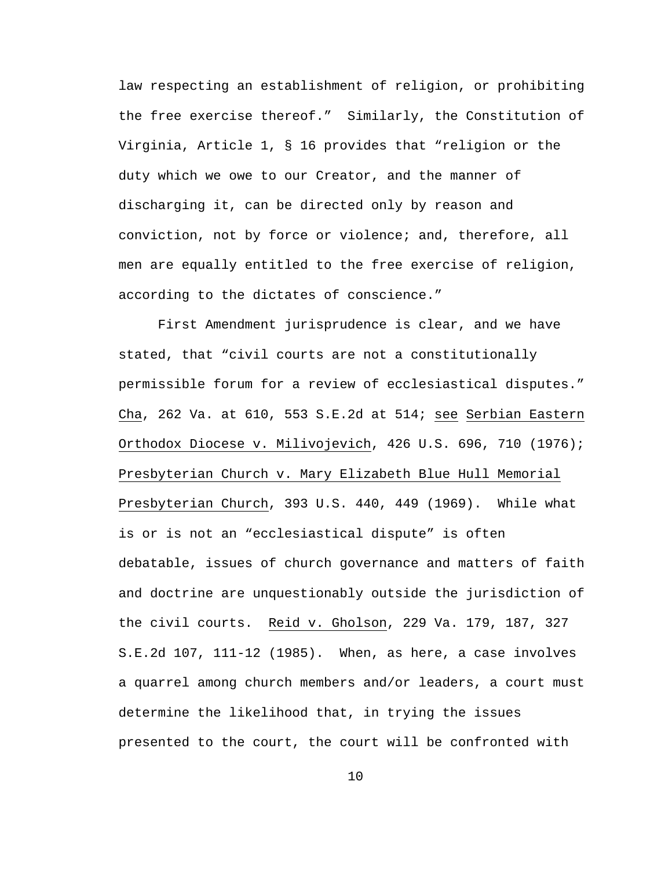law respecting an establishment of religion, or prohibiting the free exercise thereof." Similarly, the Constitution of Virginia, Article 1, § 16 provides that "religion or the duty which we owe to our Creator, and the manner of discharging it, can be directed only by reason and conviction, not by force or violence; and, therefore, all men are equally entitled to the free exercise of religion, according to the dictates of conscience."

 First Amendment jurisprudence is clear, and we have stated, that "civil courts are not a constitutionally permissible forum for a review of ecclesiastical disputes." Cha, 262 Va. at 610, 553 S.E.2d at 514; see Serbian Eastern Orthodox Diocese v. Milivojevich, 426 U.S. 696, 710 (1976); Presbyterian Church v. Mary Elizabeth Blue Hull Memorial Presbyterian Church, 393 U.S. 440, 449 (1969). While what is or is not an "ecclesiastical dispute" is often debatable, issues of church governance and matters of faith and doctrine are unquestionably outside the jurisdiction of the civil courts. Reid v. Gholson, 229 Va. 179, 187, 327 S.E.2d 107, 111-12 (1985). When, as here, a case involves a quarrel among church members and/or leaders, a court must determine the likelihood that, in trying the issues presented to the court, the court will be confronted with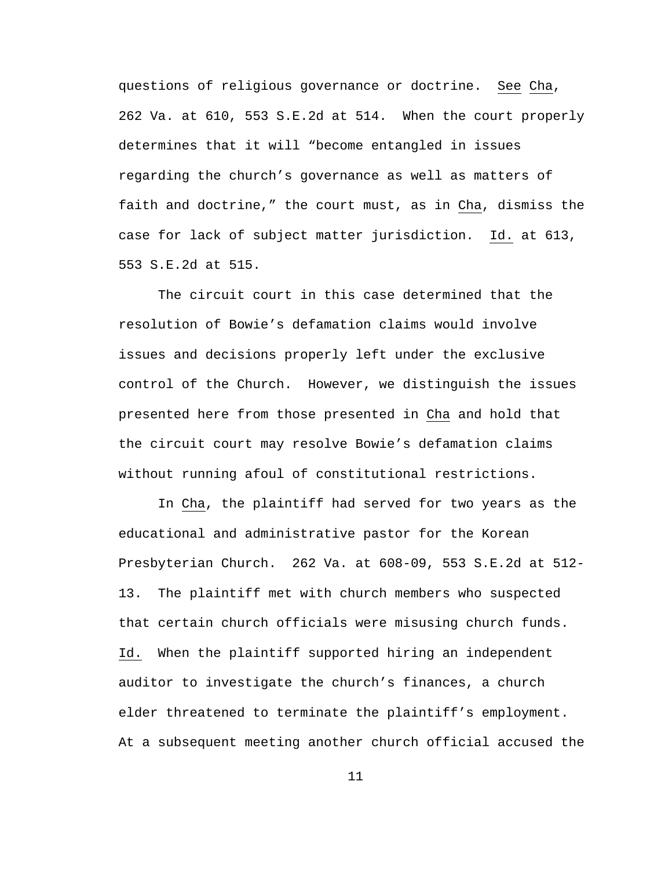questions of religious governance or doctrine. See Cha, 262 Va. at 610, 553 S.E.2d at 514. When the court properly determines that it will "become entangled in issues regarding the church's governance as well as matters of faith and doctrine," the court must, as in Cha, dismiss the case for lack of subject matter jurisdiction. Id. at 613, 553 S.E.2d at 515.

 The circuit court in this case determined that the resolution of Bowie's defamation claims would involve issues and decisions properly left under the exclusive control of the Church. However, we distinguish the issues presented here from those presented in Cha and hold that the circuit court may resolve Bowie's defamation claims without running afoul of constitutional restrictions.

 In Cha, the plaintiff had served for two years as the educational and administrative pastor for the Korean Presbyterian Church. 262 Va. at 608-09, 553 S.E.2d at 512- 13. The plaintiff met with church members who suspected that certain church officials were misusing church funds. Id. When the plaintiff supported hiring an independent auditor to investigate the church's finances, a church elder threatened to terminate the plaintiff's employment. At a subsequent meeting another church official accused the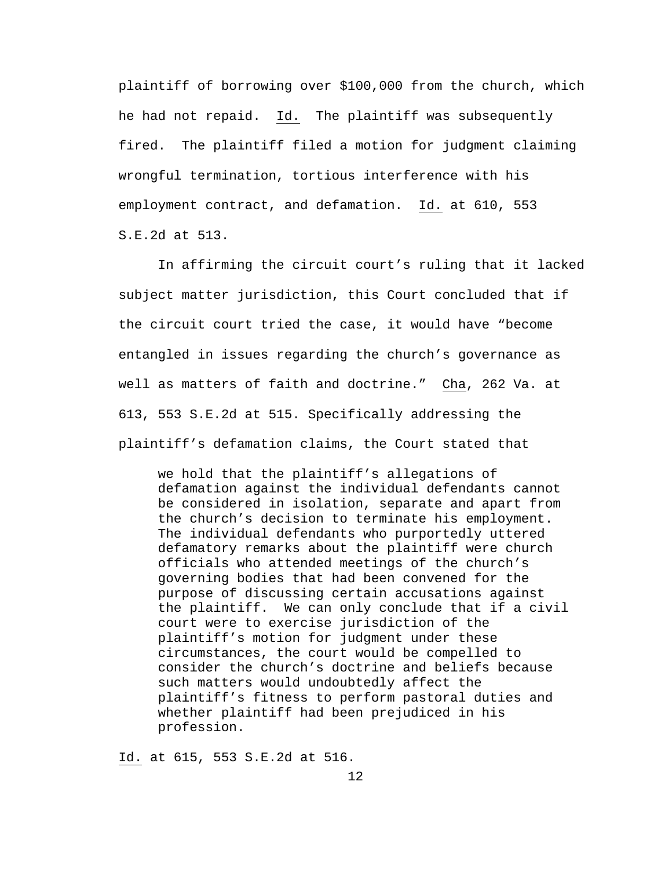plaintiff of borrowing over \$100,000 from the church, which he had not repaid. Id. The plaintiff was subsequently fired. The plaintiff filed a motion for judgment claiming wrongful termination, tortious interference with his employment contract, and defamation. Id. at 610, 553 S.E.2d at 513.

 In affirming the circuit court's ruling that it lacked subject matter jurisdiction, this Court concluded that if the circuit court tried the case, it would have "become entangled in issues regarding the church's governance as well as matters of faith and doctrine." Cha, 262 Va. at 613, 553 S.E.2d at 515. Specifically addressing the plaintiff's defamation claims, the Court stated that

 we hold that the plaintiff's allegations of defamation against the individual defendants cannot be considered in isolation, separate and apart from the church's decision to terminate his employment. The individual defendants who purportedly uttered defamatory remarks about the plaintiff were church officials who attended meetings of the church's governing bodies that had been convened for the purpose of discussing certain accusations against the plaintiff. We can only conclude that if a civil court were to exercise jurisdiction of the plaintiff's motion for judgment under these circumstances, the court would be compelled to consider the church's doctrine and beliefs because such matters would undoubtedly affect the plaintiff's fitness to perform pastoral duties and whether plaintiff had been prejudiced in his profession.

Id. at 615, 553 S.E.2d at 516.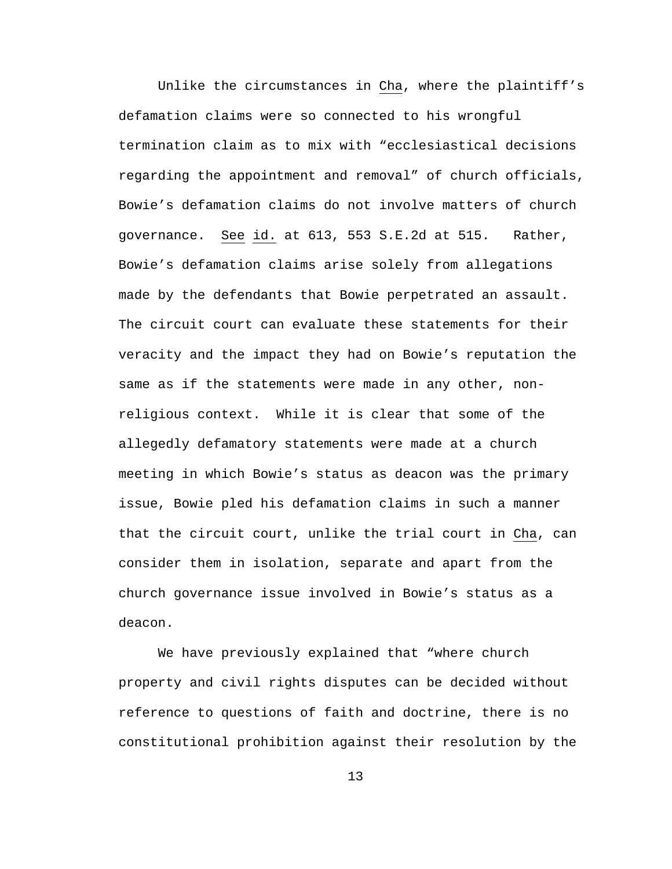Unlike the circumstances in Cha, where the plaintiff's defamation claims were so connected to his wrongful termination claim as to mix with "ecclesiastical decisions regarding the appointment and removal" of church officials, Bowie's defamation claims do not involve matters of church governance. See id. at 613, 553 S.E.2d at 515. Rather, Bowie's defamation claims arise solely from allegations made by the defendants that Bowie perpetrated an assault. The circuit court can evaluate these statements for their veracity and the impact they had on Bowie's reputation the same as if the statements were made in any other, nonreligious context. While it is clear that some of the allegedly defamatory statements were made at a church meeting in which Bowie's status as deacon was the primary issue, Bowie pled his defamation claims in such a manner that the circuit court, unlike the trial court in Cha, can consider them in isolation, separate and apart from the church governance issue involved in Bowie's status as a deacon.

 We have previously explained that "where church property and civil rights disputes can be decided without reference to questions of faith and doctrine, there is no constitutional prohibition against their resolution by the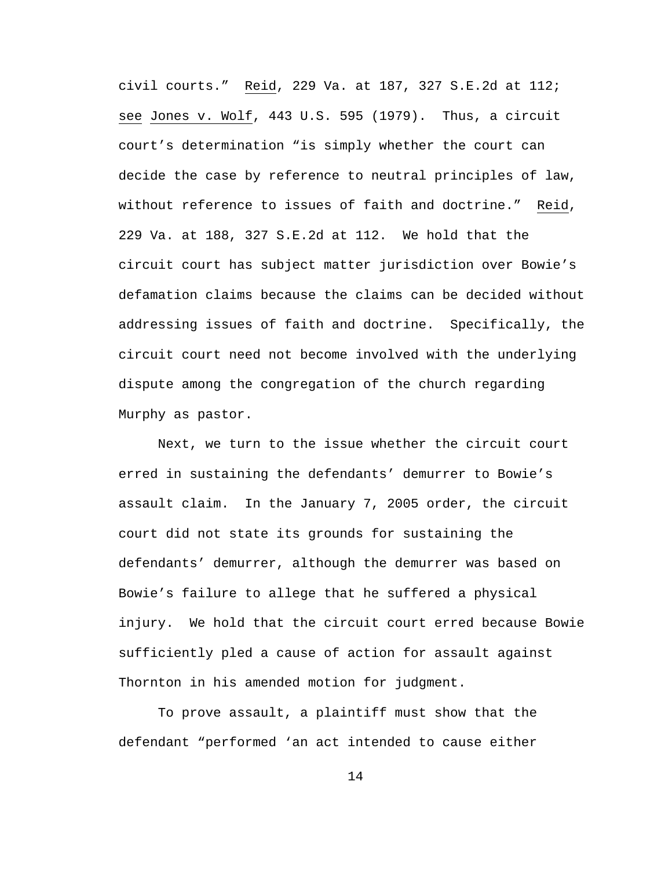civil courts." Reid, 229 Va. at 187, 327 S.E.2d at 112; see Jones v. Wolf, 443 U.S. 595 (1979). Thus, a circuit court's determination "is simply whether the court can decide the case by reference to neutral principles of law, without reference to issues of faith and doctrine." Reid, 229 Va. at 188, 327 S.E.2d at 112. We hold that the circuit court has subject matter jurisdiction over Bowie's defamation claims because the claims can be decided without addressing issues of faith and doctrine. Specifically, the circuit court need not become involved with the underlying dispute among the congregation of the church regarding Murphy as pastor.

 Next, we turn to the issue whether the circuit court erred in sustaining the defendants' demurrer to Bowie's assault claim. In the January 7, 2005 order, the circuit court did not state its grounds for sustaining the defendants' demurrer, although the demurrer was based on Bowie's failure to allege that he suffered a physical injury. We hold that the circuit court erred because Bowie sufficiently pled a cause of action for assault against Thornton in his amended motion for judgment.

 To prove assault, a plaintiff must show that the defendant "performed 'an act intended to cause either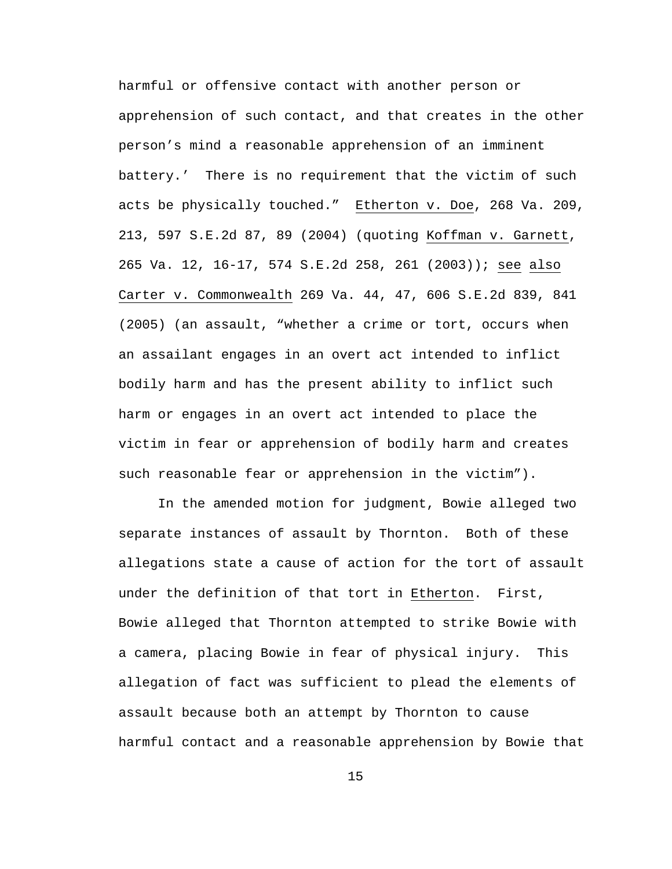harmful or offensive contact with another person or apprehension of such contact, and that creates in the other person's mind a reasonable apprehension of an imminent battery.' There is no requirement that the victim of such acts be physically touched."Etherton v. Doe, 268 Va. 209, 213, 597 S.E.2d 87, 89 (2004) (quoting Koffman v. Garnett, 265 Va. 12, 16-17, 574 S.E.2d 258, 261 (2003)); see also Carter v. Commonwealth 269 Va. 44, 47, 606 S.E.2d 839, 841 (2005) (an assault, "whether a crime or tort, occurs when an assailant engages in an overt act intended to inflict bodily harm and has the present ability to inflict such harm or engages in an overt act intended to place the victim in fear or apprehension of bodily harm and creates such reasonable fear or apprehension in the victim").

In the amended motion for judgment, Bowie alleged two separate instances of assault by Thornton. Both of these allegations state a cause of action for the tort of assault under the definition of that tort in Etherton. First, Bowie alleged that Thornton attempted to strike Bowie with a camera, placing Bowie in fear of physical injury. This allegation of fact was sufficient to plead the elements of assault because both an attempt by Thornton to cause harmful contact and a reasonable apprehension by Bowie that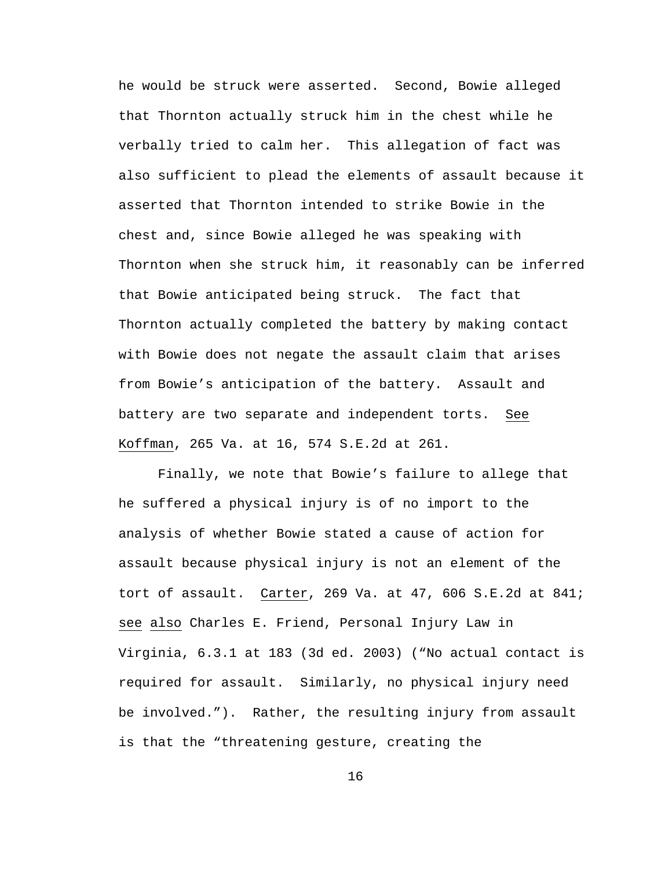he would be struck were asserted. Second, Bowie alleged that Thornton actually struck him in the chest while he verbally tried to calm her. This allegation of fact was also sufficient to plead the elements of assault because it asserted that Thornton intended to strike Bowie in the chest and, since Bowie alleged he was speaking with Thornton when she struck him, it reasonably can be inferred that Bowie anticipated being struck. The fact that Thornton actually completed the battery by making contact with Bowie does not negate the assault claim that arises from Bowie's anticipation of the battery. Assault and battery are two separate and independent torts. See Koffman, 265 Va. at 16, 574 S.E.2d at 261.

 Finally, we note that Bowie's failure to allege that he suffered a physical injury is of no import to the analysis of whether Bowie stated a cause of action for assault because physical injury is not an element of the tort of assault. Carter, 269 Va. at 47, 606 S.E.2d at 841; see also Charles E. Friend, Personal Injury Law in Virginia, 6.3.1 at 183 (3d ed. 2003) ("No actual contact is required for assault. Similarly, no physical injury need be involved."). Rather, the resulting injury from assault is that the "threatening gesture, creating the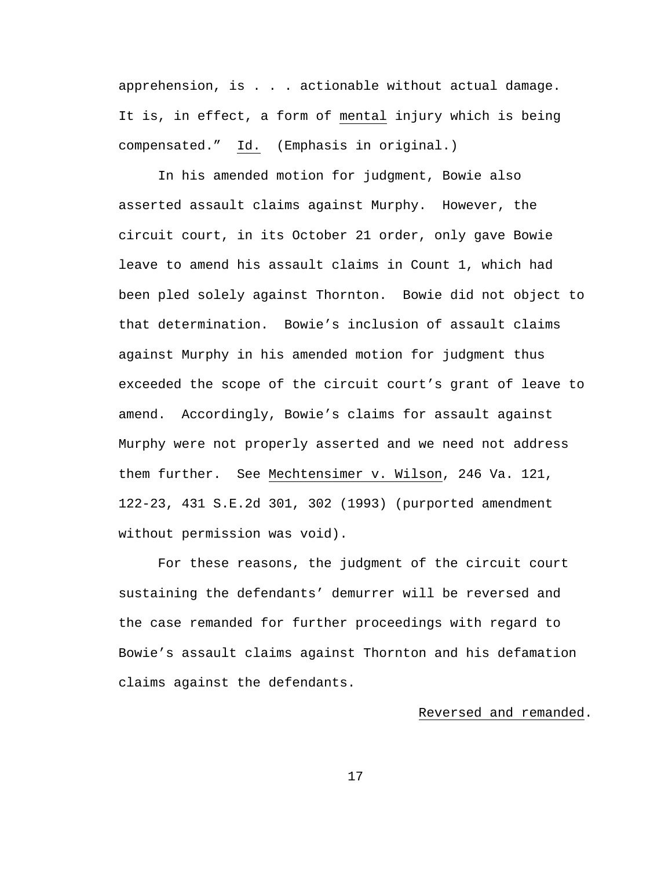apprehension, is . . . actionable without actual damage. It is, in effect, a form of mental injury which is being compensated." Id. (Emphasis in original.)

 In his amended motion for judgment, Bowie also asserted assault claims against Murphy. However, the circuit court, in its October 21 order, only gave Bowie leave to amend his assault claims in Count 1, which had been pled solely against Thornton. Bowie did not object to that determination. Bowie's inclusion of assault claims against Murphy in his amended motion for judgment thus exceeded the scope of the circuit court's grant of leave to amend. Accordingly, Bowie's claims for assault against Murphy were not properly asserted and we need not address them further. See Mechtensimer v. Wilson, 246 Va. 121, 122-23, 431 S.E.2d 301, 302 (1993) (purported amendment without permission was void).

 For these reasons, the judgment of the circuit court sustaining the defendants' demurrer will be reversed and the case remanded for further proceedings with regard to Bowie's assault claims against Thornton and his defamation claims against the defendants.

## Reversed and remanded.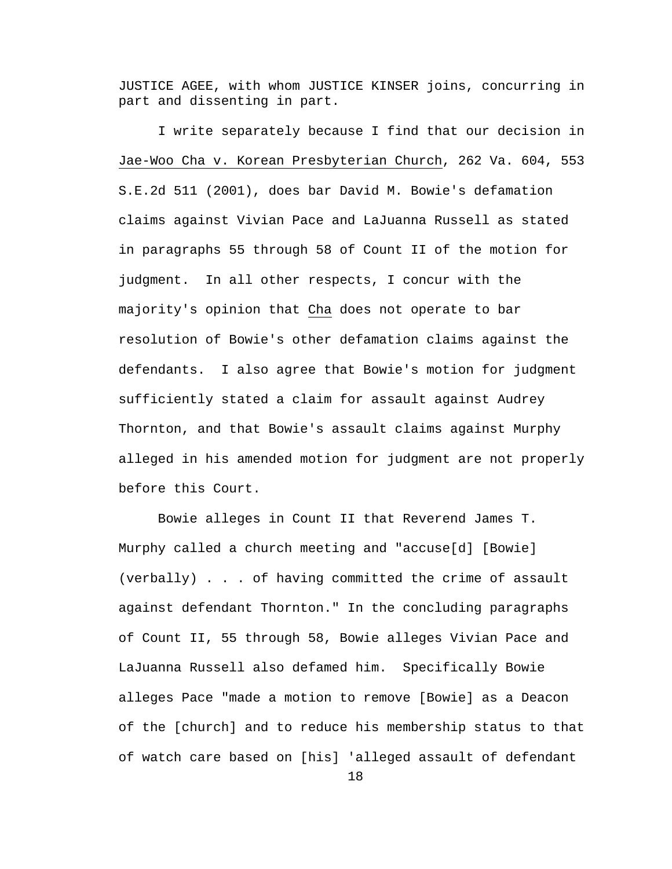JUSTICE AGEE, with whom JUSTICE KINSER joins, concurring in part and dissenting in part.

 I write separately because I find that our decision in Jae-Woo Cha v. Korean Presbyterian Church, 262 Va. 604, 553 S.E.2d 511 (2001), does bar David M. Bowie's defamation claims against Vivian Pace and LaJuanna Russell as stated in paragraphs 55 through 58 of Count II of the motion for judgment. In all other respects, I concur with the majority's opinion that Cha does not operate to bar resolution of Bowie's other defamation claims against the defendants. I also agree that Bowie's motion for judgment sufficiently stated a claim for assault against Audrey Thornton, and that Bowie's assault claims against Murphy alleged in his amended motion for judgment are not properly before this Court.

 Bowie alleges in Count II that Reverend James T. Murphy called a church meeting and "accuse[d] [Bowie] (verbally) . . . of having committed the crime of assault against defendant Thornton." In the concluding paragraphs of Count II, 55 through 58, Bowie alleges Vivian Pace and LaJuanna Russell also defamed him. Specifically Bowie alleges Pace "made a motion to remove [Bowie] as a Deacon of the [church] and to reduce his membership status to that of watch care based on [his] 'alleged assault of defendant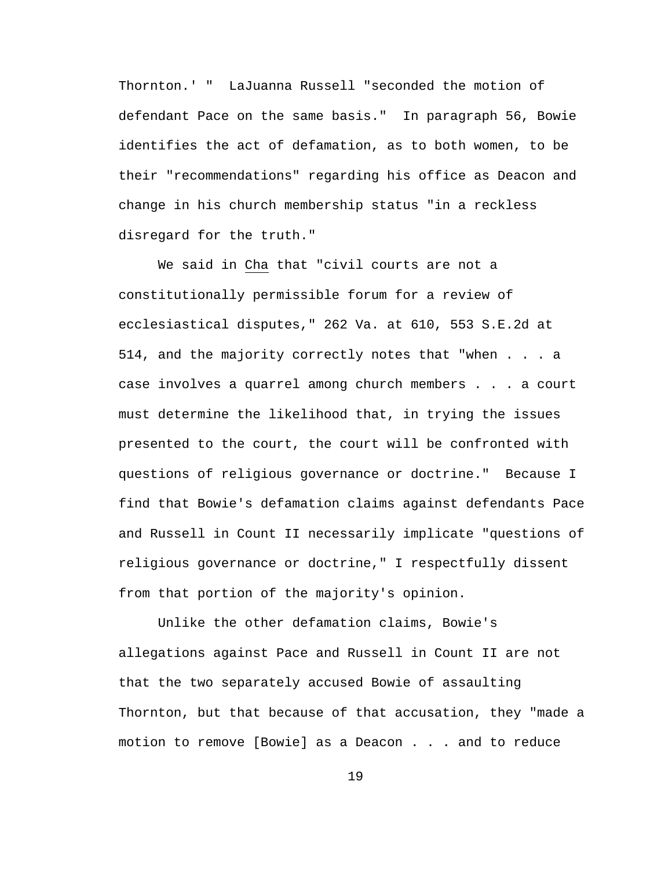Thornton.' " LaJuanna Russell "seconded the motion of defendant Pace on the same basis." In paragraph 56, Bowie identifies the act of defamation, as to both women, to be their "recommendations" regarding his office as Deacon and change in his church membership status "in a reckless disregard for the truth."

 We said in Cha that "civil courts are not a constitutionally permissible forum for a review of ecclesiastical disputes," 262 Va. at 610, 553 S.E.2d at 514, and the majority correctly notes that "when . . . a case involves a quarrel among church members . . . a court must determine the likelihood that, in trying the issues presented to the court, the court will be confronted with questions of religious governance or doctrine." Because I find that Bowie's defamation claims against defendants Pace and Russell in Count II necessarily implicate "questions of religious governance or doctrine," I respectfully dissent from that portion of the majority's opinion.

 Unlike the other defamation claims, Bowie's allegations against Pace and Russell in Count II are not that the two separately accused Bowie of assaulting Thornton, but that because of that accusation, they "made a motion to remove [Bowie] as a Deacon . . . and to reduce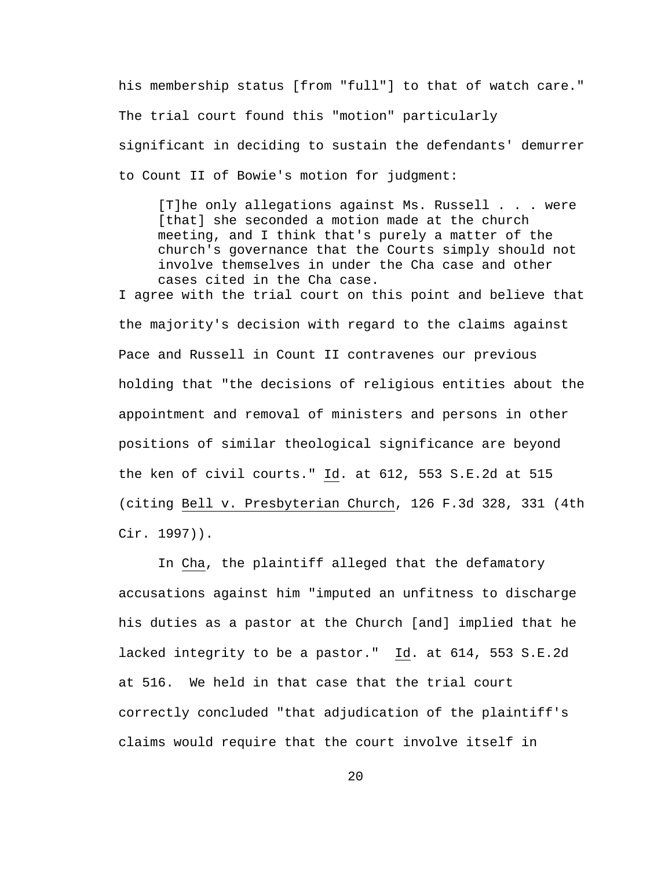his membership status [from "full"] to that of watch care." The trial court found this "motion" particularly significant in deciding to sustain the defendants' demurrer to Count II of Bowie's motion for judgment:

[T]he only allegations against Ms. Russell . . . were [that] she seconded a motion made at the church meeting, and I think that's purely a matter of the church's governance that the Courts simply should not involve themselves in under the Cha case and other cases cited in the Cha case. I agree with the trial court on this point and believe that the majority's decision with regard to the claims against Pace and Russell in Count II contravenes our previous holding that "the decisions of religious entities about the appointment and removal of ministers and persons in other positions of similar theological significance are beyond the ken of civil courts." Id. at 612, 553 S.E.2d at 515 (citing Bell v. Presbyterian Church, 126 F.3d 328, 331 (4th Cir. 1997)).

 In Cha, the plaintiff alleged that the defamatory accusations against him "imputed an unfitness to discharge his duties as a pastor at the Church [and] implied that he lacked integrity to be a pastor." Id. at 614, 553 S.E.2d at 516. We held in that case that the trial court correctly concluded "that adjudication of the plaintiff's claims would require that the court involve itself in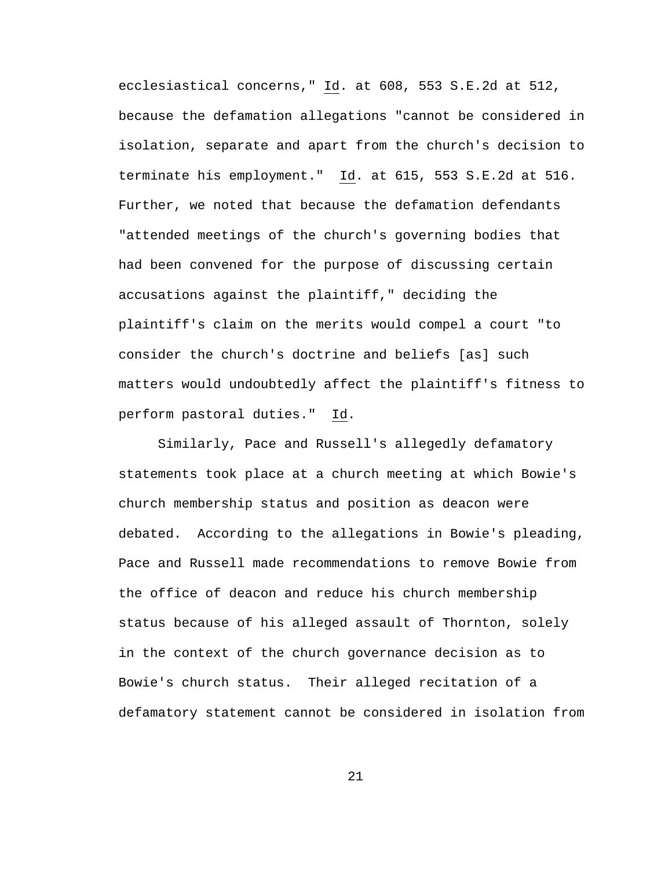ecclesiastical concerns," Id. at 608, 553 S.E.2d at 512, because the defamation allegations "cannot be considered in isolation, separate and apart from the church's decision to terminate his employment." Id. at 615, 553 S.E.2d at 516. Further, we noted that because the defamation defendants "attended meetings of the church's governing bodies that had been convened for the purpose of discussing certain accusations against the plaintiff," deciding the plaintiff's claim on the merits would compel a court "to consider the church's doctrine and beliefs [as] such matters would undoubtedly affect the plaintiff's fitness to perform pastoral duties." Id.

 Similarly, Pace and Russell's allegedly defamatory statements took place at a church meeting at which Bowie's church membership status and position as deacon were debated. According to the allegations in Bowie's pleading, Pace and Russell made recommendations to remove Bowie from the office of deacon and reduce his church membership status because of his alleged assault of Thornton, solely in the context of the church governance decision as to Bowie's church status. Their alleged recitation of a defamatory statement cannot be considered in isolation from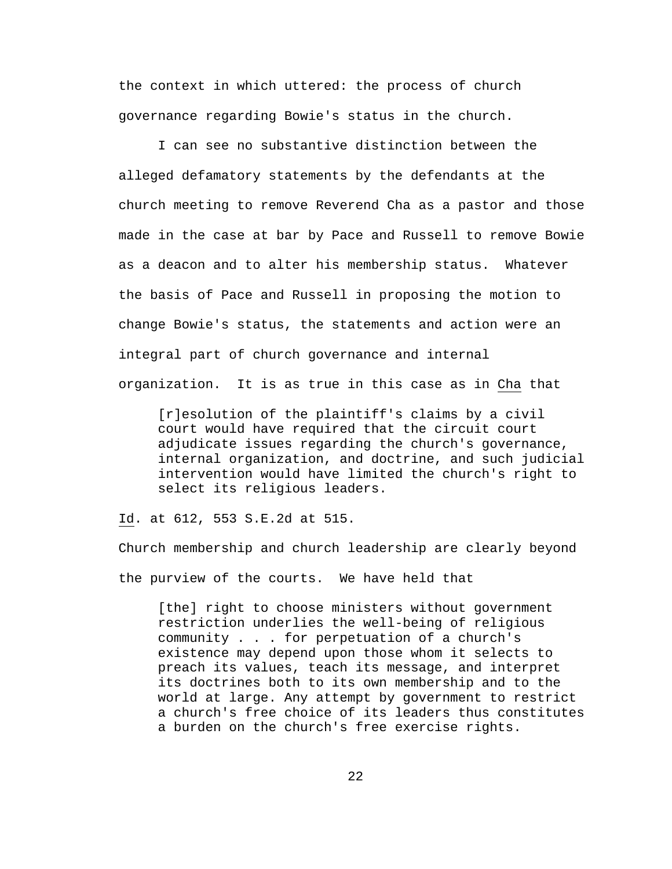the context in which uttered: the process of church governance regarding Bowie's status in the church.

 I can see no substantive distinction between the alleged defamatory statements by the defendants at the church meeting to remove Reverend Cha as a pastor and those made in the case at bar by Pace and Russell to remove Bowie as a deacon and to alter his membership status. Whatever the basis of Pace and Russell in proposing the motion to change Bowie's status, the statements and action were an integral part of church governance and internal organization. It is as true in this case as in Cha that

[r]esolution of the plaintiff's claims by a civil court would have required that the circuit court adjudicate issues regarding the church's governance, internal organization, and doctrine, and such judicial intervention would have limited the church's right to select its religious leaders.

Id. at 612, 553 S.E.2d at 515.

Church membership and church leadership are clearly beyond the purview of the courts. We have held that

[the] right to choose ministers without government restriction underlies the well-being of religious community . . . for perpetuation of a church's existence may depend upon those whom it selects to preach its values, teach its message, and interpret its doctrines both to its own membership and to the world at large. Any attempt by government to restrict a church's free choice of its leaders thus constitutes a burden on the church's free exercise rights.